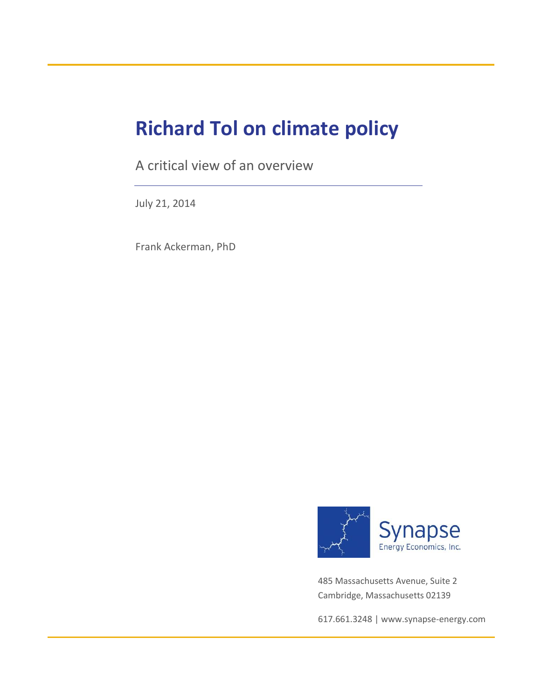# **Richard Tol on climate policy**

A critical view of an overview

July 21, 2014

Frank Ackerman, PhD



485 Massachusetts Avenue, Suite 2 Cambridge, Massachusetts 02139

617.661.3248 [| www.synapse-energy.com](http://www.synapse-energy.com/)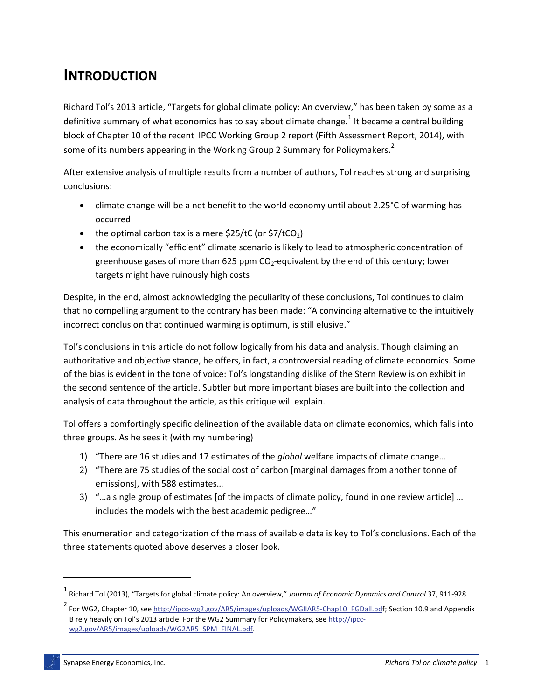#### **INTRODUCTION**

Richard Tol's 2013 article, "Targets for global climate policy: An overview," has been taken by some as a definitive summary of what economics has to say about climate change.<sup>1</sup> It became a central building block of Chapter 10 of the recent IPCC Working Group 2 report (Fifth Assessment Report, 2014), with some of its numbers appearing in the Working Group 2 Summary for Policymakers.<sup>2</sup>

After extensive analysis of multiple results from a number of authors, Tol reaches strong and surprising conclusions:

- climate change will be a net benefit to the world economy until about 2.25°C of warming has occurred
- the optimal carbon tax is a mere  $$25/tC$  (or  $$7/tCO<sub>2</sub>$ )
- the economically "efficient" climate scenario is likely to lead to atmospheric concentration of greenhouse gases of more than 625 ppm  $CO<sub>2</sub>$ -equivalent by the end of this century; lower targets might have ruinously high costs

Despite, in the end, almost acknowledging the peculiarity of these conclusions, Tol continues to claim that no compelling argument to the contrary has been made: "A convincing alternative to the intuitively incorrect conclusion that continued warming is optimum, is still elusive."

Tol's conclusions in this article do not follow logically from his data and analysis. Though claiming an authoritative and objective stance, he offers, in fact, a controversial reading of climate economics. Some of the bias is evident in the tone of voice: Tol's longstanding dislike of the Stern Review is on exhibit in the second sentence of the article. Subtler but more important biases are built into the collection and analysis of data throughout the article, as this critique will explain.

Tol offers a comfortingly specific delineation of the available data on climate economics, which falls into three groups. As he sees it (with my numbering)

- 1) "There are 16 studies and 17 estimates of the *global* welfare impacts of climate change…
- 2) "There are 75 studies of the social cost of carbon [marginal damages from another tonne of emissions], with 588 estimates…
- 3) "…a single group of estimates [of the impacts of climate policy, found in one review article] … includes the models with the best academic pedigree…"

This enumeration and categorization of the mass of available data is key to Tol's conclusions. Each of the three statements quoted above deserves a closer look.

<sup>1</sup> Richard Tol (2013), "Targets for global climate policy: An overview," *Journal of Economic Dynamics and Control* 37, 911-928.

<sup>&</sup>lt;sup>2</sup> For WG2, Chapter 10, see [http://ipcc-wg2.gov/AR5/images/uploads/WGIIAR5-Chap10\\_FGDall.pdf;](http://ipcc-wg2.gov/AR5/images/uploads/WGIIAR5-Chap10_FGDall.pdf) Section 10.9 and Appendix B rely heavily on Tol's 2013 article. For the WG2 Summary for Policymakers, see [http://ipcc](http://ipcc-wg2.gov/AR5/images/uploads/WG2AR5_SPM_FINAL.pdf)[wg2.gov/AR5/images/uploads/WG2AR5\\_SPM\\_FINAL.pdf.](http://ipcc-wg2.gov/AR5/images/uploads/WG2AR5_SPM_FINAL.pdf)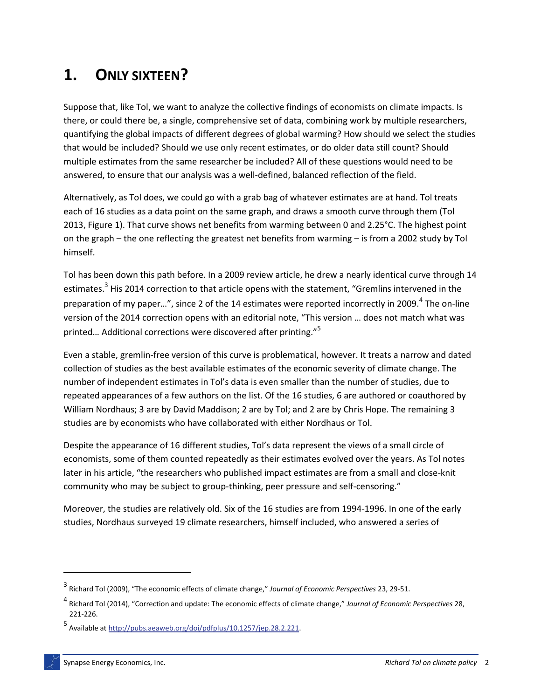# **1. ONLY SIXTEEN?**

Suppose that, like Tol, we want to analyze the collective findings of economists on climate impacts. Is there, or could there be, a single, comprehensive set of data, combining work by multiple researchers, quantifying the global impacts of different degrees of global warming? How should we select the studies that would be included? Should we use only recent estimates, or do older data still count? Should multiple estimates from the same researcher be included? All of these questions would need to be answered, to ensure that our analysis was a well-defined, balanced reflection of the field.

Alternatively, as Tol does, we could go with a grab bag of whatever estimates are at hand. Tol treats each of 16 studies as a data point on the same graph, and draws a smooth curve through them (Tol 2013, Figure 1). That curve shows net benefits from warming between 0 and 2.25°C. The highest point on the graph – the one reflecting the greatest net benefits from warming – is from a 2002 study by Tol himself.

Tol has been down this path before. In a 2009 review article, he drew a nearly identical curve through 14 estimates.<sup>3</sup> His 2014 correction to that article opens with the statement, "Gremlins intervened in the preparation of my paper...", since 2 of the 14 estimates were reported incorrectly in 2009.<sup>4</sup> The on-line version of the 2014 correction opens with an editorial note, "This version … does not match what was printed... Additional corrections were discovered after printing."<sup>5</sup>

Even a stable, gremlin-free version of this curve is problematical, however. It treats a narrow and dated collection of studies as the best available estimates of the economic severity of climate change. The number of independent estimates in Tol's data is even smaller than the number of studies, due to repeated appearances of a few authors on the list. Of the 16 studies, 6 are authored or coauthored by William Nordhaus; 3 are by David Maddison; 2 are by Tol; and 2 are by Chris Hope. The remaining 3 studies are by economists who have collaborated with either Nordhaus or Tol.

Despite the appearance of 16 different studies, Tol's data represent the views of a small circle of economists, some of them counted repeatedly as their estimates evolved over the years. As Tol notes later in his article, "the researchers who published impact estimates are from a small and close-knit community who may be subject to group-thinking, peer pressure and self-censoring."

Moreover, the studies are relatively old. Six of the 16 studies are from 1994-1996. In one of the early studies, Nordhaus surveyed 19 climate researchers, himself included, who answered a series of

<sup>3</sup> Richard Tol (2009), "The economic effects of climate change," *Journal of Economic Perspectives* 23, 29-51.

<sup>4</sup> Richard Tol (2014), "Correction and update: The economic effects of climate change," *Journal of Economic Perspectives* 28, 221-226.

<sup>5&</sup>lt;br>Available at [http://pubs.aeaweb.org/doi/pdfplus/10.1257/jep.28.2.221.](http://pubs.aeaweb.org/doi/pdfplus/10.1257/jep.28.2.221)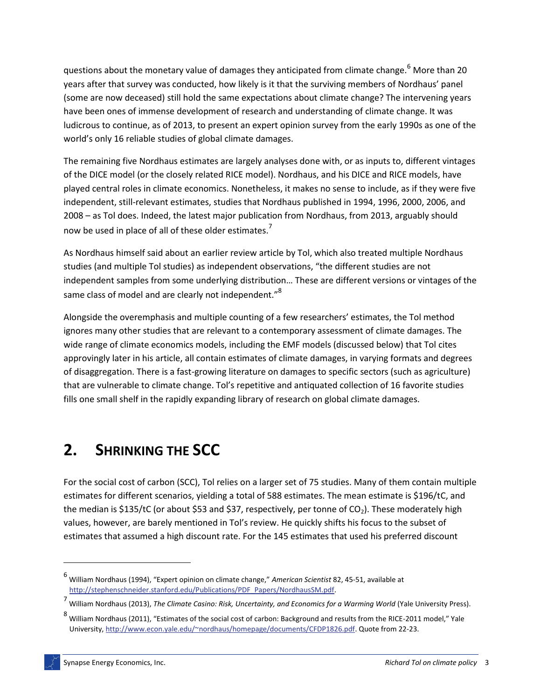questions about the monetary value of damages they anticipated from climate change.<sup>6</sup> More than 20 years after that survey was conducted, how likely is it that the surviving members of Nordhaus' panel (some are now deceased) still hold the same expectations about climate change? The intervening years have been ones of immense development of research and understanding of climate change. It was ludicrous to continue, as of 2013, to present an expert opinion survey from the early 1990s as one of the world's only 16 reliable studies of global climate damages.

The remaining five Nordhaus estimates are largely analyses done with, or as inputs to, different vintages of the DICE model (or the closely related RICE model). Nordhaus, and his DICE and RICE models, have played central roles in climate economics. Nonetheless, it makes no sense to include, as if they were five independent, still-relevant estimates, studies that Nordhaus published in 1994, 1996, 2000, 2006, and 2008 – as Tol does. Indeed, the latest major publication from Nordhaus, from 2013, arguably should now be used in place of all of these older estimates.<sup>7</sup>

As Nordhaus himself said about an earlier review article by Tol, which also treated multiple Nordhaus studies (and multiple Tol studies) as independent observations, "the different studies are not independent samples from some underlying distribution… These are different versions or vintages of the same class of model and are clearly not independent."<sup>8</sup>

Alongside the overemphasis and multiple counting of a few researchers' estimates, the Tol method ignores many other studies that are relevant to a contemporary assessment of climate damages. The wide range of climate economics models, including the EMF models (discussed below) that Tol cites approvingly later in his article, all contain estimates of climate damages, in varying formats and degrees of disaggregation. There is a fast-growing literature on damages to specific sectors (such as agriculture) that are vulnerable to climate change. Tol's repetitive and antiquated collection of 16 favorite studies fills one small shelf in the rapidly expanding library of research on global climate damages.

# **2. SHRINKING THE SCC**

For the social cost of carbon (SCC), Tol relies on a larger set of 75 studies. Many of them contain multiple estimates for different scenarios, yielding a total of 588 estimates. The mean estimate is \$196/tC, and the median is \$135/tC (or about \$53 and \$37, respectively, per tonne of  $CO<sub>2</sub>$ ). These moderately high values, however, are barely mentioned in Tol's review. He quickly shifts his focus to the subset of estimates that assumed a high discount rate. For the 145 estimates that used his preferred discount

 $\overline{a}$ 

<sup>6</sup> William Nordhaus (1994), "Expert opinion on climate change," *American Scientist* 82, 45-51, available at [http://stephenschneider.stanford.edu/Publications/PDF\\_Papers/NordhausSM.pdf.](http://stephenschneider.stanford.edu/Publications/PDF_Papers/NordhausSM.pdf)

<sup>7</sup> William Nordhaus (2013), *The Climate Casino: Risk, Uncertainty, and Economics for a Warming World* (Yale University Press).

<sup>8</sup> William Nordhaus (2011), "Estimates of the social cost of carbon: Background and results from the RICE-2011 model," Yale University[, http://www.econ.yale.edu/~nordhaus/homepage/documents/CFDP1826.pdf.](http://www.econ.yale.edu/~nordhaus/homepage/documents/CFDP1826.pdf) Quote from 22-23.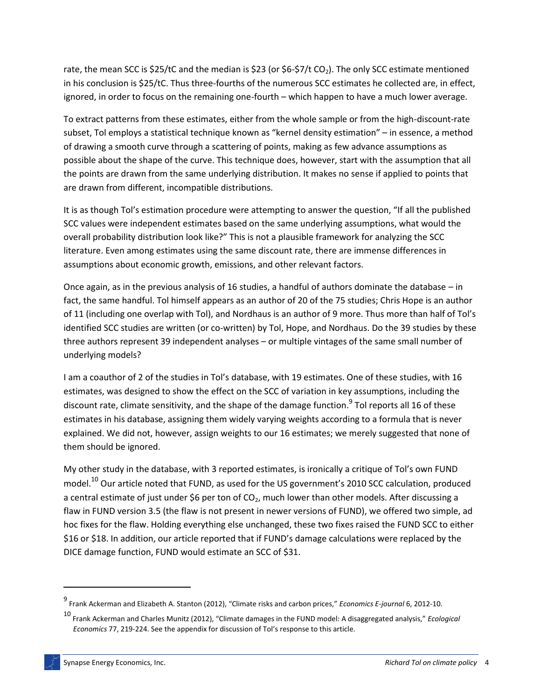rate, the mean SCC is  $$25/tC$  and the median is  $$23$  (or  $$6-$7/t CO<sub>2</sub>$ ). The only SCC estimate mentioned in his conclusion is \$25/tC. Thus three-fourths of the numerous SCC estimates he collected are, in effect, ignored, in order to focus on the remaining one-fourth – which happen to have a much lower average.

To extract patterns from these estimates, either from the whole sample or from the high-discount-rate subset, Tol employs a statistical technique known as "kernel density estimation" – in essence, a method of drawing a smooth curve through a scattering of points, making as few advance assumptions as possible about the shape of the curve. This technique does, however, start with the assumption that all the points are drawn from the same underlying distribution. It makes no sense if applied to points that are drawn from different, incompatible distributions.

It is as though Tol's estimation procedure were attempting to answer the question, "If all the published SCC values were independent estimates based on the same underlying assumptions, what would the overall probability distribution look like?" This is not a plausible framework for analyzing the SCC literature. Even among estimates using the same discount rate, there are immense differences in assumptions about economic growth, emissions, and other relevant factors.

Once again, as in the previous analysis of 16 studies, a handful of authors dominate the database – in fact, the same handful. Tol himself appears as an author of 20 of the 75 studies; Chris Hope is an author of 11 (including one overlap with Tol), and Nordhaus is an author of 9 more. Thus more than half of Tol's identified SCC studies are written (or co-written) by Tol, Hope, and Nordhaus. Do the 39 studies by these three authors represent 39 independent analyses – or multiple vintages of the same small number of underlying models?

I am a coauthor of 2 of the studies in Tol's database, with 19 estimates. One of these studies, with 16 estimates, was designed to show the effect on the SCC of variation in key assumptions, including the discount rate, climate sensitivity, and the shape of the damage function.<sup>9</sup> Tol reports all 16 of these estimates in his database, assigning them widely varying weights according to a formula that is never explained. We did not, however, assign weights to our 16 estimates; we merely suggested that none of them should be ignored.

My other study in the database, with 3 reported estimates, is ironically a critique of Tol's own FUND model.<sup>10</sup> Our article noted that FUND, as used for the US government's 2010 SCC calculation, produced a central estimate of just under \$6 per ton of CO<sub>2</sub>, much lower than other models. After discussing a flaw in FUND version 3.5 (the flaw is not present in newer versions of FUND), we offered two simple, ad hoc fixes for the flaw. Holding everything else unchanged, these two fixes raised the FUND SCC to either \$16 or \$18. In addition, our article reported that if FUND's damage calculations were replaced by the DICE damage function, FUND would estimate an SCC of \$31.

<sup>9</sup> Frank Ackerman and Elizabeth A. Stanton (2012), "Climate risks and carbon prices," *Economics E-journal* 6, 2012-10.

<sup>10</sup> Frank Ackerman and Charles Munitz (2012), "Climate damages in the FUND model: A disaggregated analysis," *Ecological Economics* 77, 219-224. See the appendix for discussion of Tol's response to this article.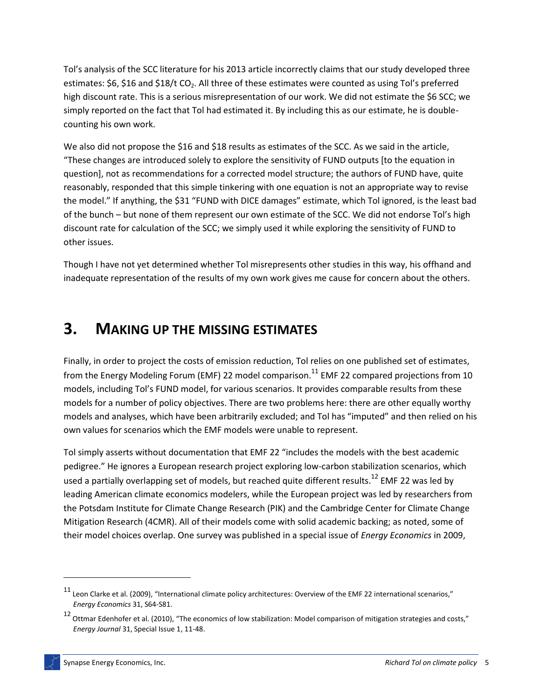Tol's analysis of the SCC literature for his 2013 article incorrectly claims that our study developed three estimates: \$6, \$16 and \$18/t CO<sub>2</sub>. All three of these estimates were counted as using Tol's preferred high discount rate. This is a serious misrepresentation of our work. We did not estimate the \$6 SCC; we simply reported on the fact that Tol had estimated it. By including this as our estimate, he is doublecounting his own work.

We also did not propose the \$16 and \$18 results as estimates of the SCC. As we said in the article, "These changes are introduced solely to explore the sensitivity of FUND outputs [to the equation in question], not as recommendations for a corrected model structure; the authors of FUND have, quite reasonably, responded that this simple tinkering with one equation is not an appropriate way to revise the model." If anything, the \$31 "FUND with DICE damages" estimate, which Tol ignored, is the least bad of the bunch – but none of them represent our own estimate of the SCC. We did not endorse Tol's high discount rate for calculation of the SCC; we simply used it while exploring the sensitivity of FUND to other issues.

Though I have not yet determined whether Tol misrepresents other studies in this way, his offhand and inadequate representation of the results of my own work gives me cause for concern about the others.

#### **3. MAKING UP THE MISSING ESTIMATES**

Finally, in order to project the costs of emission reduction, Tol relies on one published set of estimates, from the Energy Modeling Forum (EMF) 22 model comparison.<sup>11</sup> EMF 22 compared projections from 10 models, including Tol's FUND model, for various scenarios. It provides comparable results from these models for a number of policy objectives. There are two problems here: there are other equally worthy models and analyses, which have been arbitrarily excluded; and Tol has "imputed" and then relied on his own values for scenarios which the EMF models were unable to represent.

Tol simply asserts without documentation that EMF 22 "includes the models with the best academic pedigree." He ignores a European research project exploring low-carbon stabilization scenarios, which used a partially overlapping set of models, but reached quite different results.<sup>12</sup> EMF 22 was led by leading American climate economics modelers, while the European project was led by researchers from the Potsdam Institute for Climate Change Research (PIK) and the Cambridge Center for Climate Change Mitigation Research (4CMR). All of their models come with solid academic backing; as noted, some of their model choices overlap. One survey was published in a special issue of *Energy Economics* in 2009,

 $11$  Leon Clarke et al. (2009), "International climate policy architectures: Overview of the EMF 22 international scenarios," *Energy Economics* 31, S64-S81.

<sup>12</sup> Ottmar Edenhofer et al. (2010), "The economics of low stabilization: Model comparison of mitigation strategies and costs," *Energy Journal* 31, Special Issue 1, 11-48.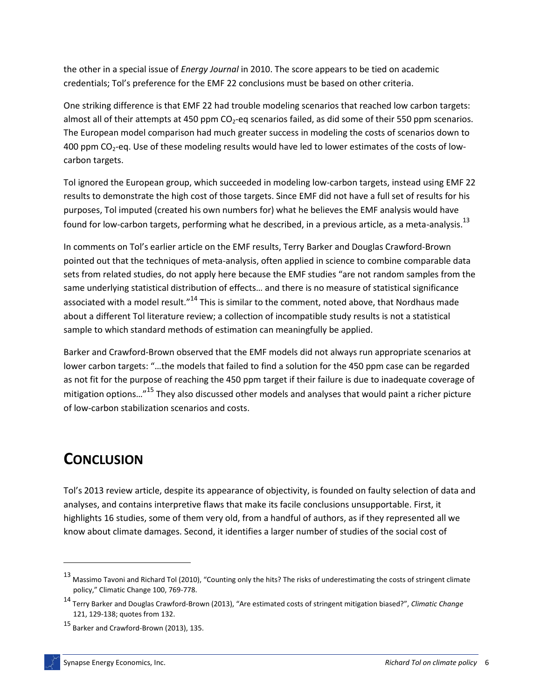the other in a special issue of *Energy Journal* in 2010. The score appears to be tied on academic credentials; Tol's preference for the EMF 22 conclusions must be based on other criteria.

One striking difference is that EMF 22 had trouble modeling scenarios that reached low carbon targets: almost all of their attempts at 450 ppm  $CO<sub>2</sub>$ -eq scenarios failed, as did some of their 550 ppm scenarios. The European model comparison had much greater success in modeling the costs of scenarios down to 400 ppm  $CO<sub>2</sub>$ -eq. Use of these modeling results would have led to lower estimates of the costs of lowcarbon targets.

Tol ignored the European group, which succeeded in modeling low-carbon targets, instead using EMF 22 results to demonstrate the high cost of those targets. Since EMF did not have a full set of results for his purposes, Tol imputed (created his own numbers for) what he believes the EMF analysis would have found for low-carbon targets, performing what he described, in a previous article, as a meta-analysis.<sup>13</sup>

In comments on Tol's earlier article on the EMF results, Terry Barker and Douglas Crawford-Brown pointed out that the techniques of meta-analysis, often applied in science to combine comparable data sets from related studies, do not apply here because the EMF studies "are not random samples from the same underlying statistical distribution of effects… and there is no measure of statistical significance associated with a model result."<sup>14</sup> This is similar to the comment, noted above, that Nordhaus made about a different Tol literature review; a collection of incompatible study results is not a statistical sample to which standard methods of estimation can meaningfully be applied.

Barker and Crawford-Brown observed that the EMF models did not always run appropriate scenarios at lower carbon targets: "…the models that failed to find a solution for the 450 ppm case can be regarded as not fit for the purpose of reaching the 450 ppm target if their failure is due to inadequate coverage of mitigation options…"<sup>15</sup> They also discussed other models and analyses that would paint a richer picture of low-carbon stabilization scenarios and costs.

### **CONCLUSION**

 $\overline{a}$ 

Tol's 2013 review article, despite its appearance of objectivity, is founded on faulty selection of data and analyses, and contains interpretive flaws that make its facile conclusions unsupportable. First, it highlights 16 studies, some of them very old, from a handful of authors, as if they represented all we know about climate damages. Second, it identifies a larger number of studies of the social cost of

<sup>13</sup> Massimo Tavoni and Richard Tol (2010), "Counting only the hits? The risks of underestimating the costs of stringent climate policy," Climatic Change 100, 769-778.

<sup>14</sup> Terry Barker and Douglas Crawford-Brown (2013), "Are estimated costs of stringent mitigation biased?", *Climatic Change* 121, 129-138; quotes from 132.

<sup>15</sup> Barker and Crawford-Brown (2013), 135.